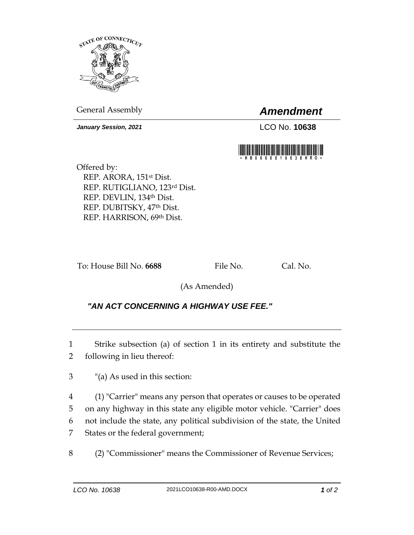

General Assembly *Amendment*

*January Session, 2021* LCO No. **10638**



Offered by: REP. ARORA, 151st Dist. REP. RUTIGLIANO, 123rd Dist. REP. DEVLIN, 134th Dist. REP. DUBITSKY, 47th Dist. REP. HARRISON, 69th Dist.

To: House Bill No. 6688 File No. Cal. No.

(As Amended)

## *"AN ACT CONCERNING A HIGHWAY USE FEE."*

1 Strike subsection (a) of section 1 in its entirety and substitute the 2 following in lieu thereof:

3 "(a) As used in this section:

 (1) "Carrier" means any person that operates or causes to be operated on any highway in this state any eligible motor vehicle. "Carrier" does not include the state, any political subdivision of the state, the United States or the federal government;

8 (2) "Commissioner" means the Commissioner of Revenue Services;